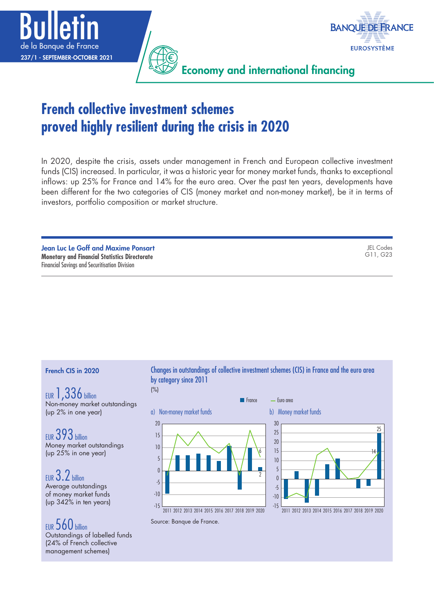



Economy and international financing

# **French collective investment schemes proved highly resilient during the crisis in 2020**

In 2020, despite the crisis, assets under management in French and European collective investment funds (CIS) increased. In particular, it was a historic year for money market funds, thanks to exceptional inflows: up 25% for France and 14% for the euro area. Over the past ten years, developments have been different for the two categories of CIS (money market and non-money market), be it in terms of investors, portfolio composition or market structure.

Jean Luc Le Goff and Maxime Ponsart **Monetary and Financial Statistics Directorate** Financial Savings and Securitisation Division

JEL Codes G11, G23

#### French CIS in 2020

EUR 1,336 billion Non-money market outstandings (up 2% in one year)

EUR 393 billion Money market outstandings (up 25% in one year)

EUR 3.2 billion Average outstandings of money market funds (up 342% in ten years)

EUR 560 billion Outstandings of labelled funds (24% of French collective management schemes)

Changes in outstandings of collective investment schemes (CIS) in France and the euro area by category since 2011 (%)





2011 2012 2013 2014 2015 2016 2017 2018 2019 2020

Source: Banque de France.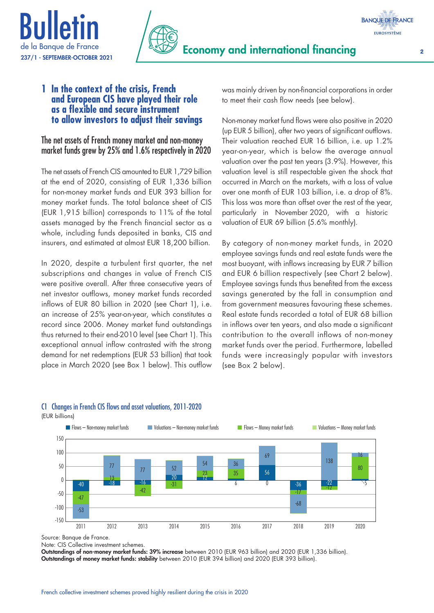



### **1 In the context of the crisis, French and European CIS have played their role as a flexible and secure instrument to allow investors to adjust their savings**

The net assets of French money market and non‑money market funds grew by 25% and 1.6% respectively in 2020

The net assets of French CIS amounted to EUR 1,729 billion at the end of 2020, consisting of EUR 1,336 billion for non-money market funds and EUR 393 billion for money market funds. The total balance sheet of CIS (EUR 1,915 billion) corresponds to 11% of the total assets managed by the French financial sector as a whole, including funds deposited in banks, CIS and insurers, and estimated at almost EUR 18,200 billion.

In 2020, despite a turbulent first quarter, the net subscriptions and changes in value of French CIS were positive overall. After three consecutive years of net investor outflows, money market funds recorded inflows of EUR 80 billion in 2020 (see Chart 1), i.e. an increase of 25% year-on-year, which constitutes a record since 2006. Money market fund outstandings thus returned to their end-2010 level (see Chart 1). This exceptional annual inflow contrasted with the strong demand for net redemptions (EUR 53 billion) that took place in March 2020 (see Box 1 below). This outflow was mainly driven by non-financial corporations in order to meet their cash flow needs (see below).

Non-money market fund flows were also positive in 2020 (up EUR 5 billion), after two years of significant outflows. Their valuation reached EUR 16 billion, i.e. up 1.2% year-on-year, which is below the average annual valuation over the past ten years (3.9%). However, this valuation level is still respectable given the shock that occurred in March on the markets, with a loss of value over one month of EUR 103 billion, i.e. a drop of 8%. This loss was more than offset over the rest of the year, particularly in November 2020, with a historic valuation of EUR 69 billion (5.6% monthly).

By category of non-money market funds, in 2020 employee savings funds and real estate funds were the most buoyant, with inflows increasing by EUR 7 billion and EUR 6 billion respectively (see Chart 2 below). Employee savings funds thus benefited from the excess savings generated by the fall in consumption and from government measures favouring these schemes. Real estate funds recorded a total of EUR 68 billion in inflows over ten years, and also made a significant contribution to the overall inflows of non-money market funds over the period. Furthermore, labelled funds were increasingly popular with investors (see Box 2 below).



### C1 Changes in French CIS flows and asset valuations, 2011‑2020

(EUR billions)

Source: Banque de France.

Note: CIS Collective investment schemes.

Outstandings of non-money market funds: 39% increase between 2010 (EUR 963 billion) and 2020 (EUR 1,336 billion). Outstandings of money market funds: stability between 2010 (EUR 394 billion) and 2020 (EUR 393 billion).

**BANQUE DE FRANCE**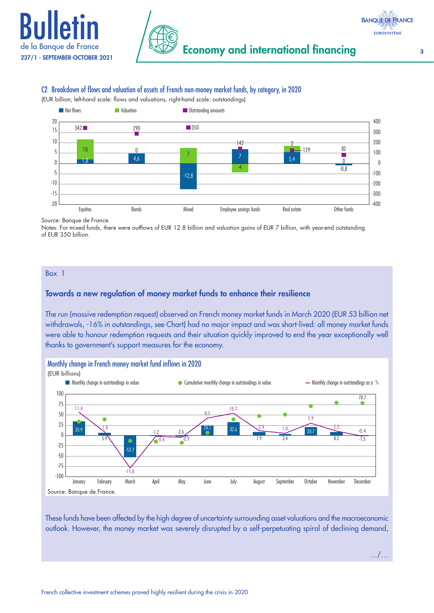



#### C2 Breakdown of flows and valuation of assets of French non‑money market funds, by category, in 2020



Source: Banque de France.

Notes: For mixed funds, there were outflows of EUR 12.8 billion and valuation gains of EUR 7 billion, with year-end outstanding of EUR 350 billion.

Box 1

#### Towards a new regulation of money market funds to enhance their resilience

The run (massive redemption request) observed on French money market funds in March 2020 (EUR 53 billion net withdrawals, -16% in outstandings, see Chart) had no major impact and was short-lived: all money market funds were able to honour redemption requests and their situation quickly improved to end the year exceptionally well thanks to government's support measures for the economy.



These funds have been affected by the high degree of uncertainty surrounding asset valuations and the macroeconomic outlook. However, the money market was severely disrupted by a self‑perpetuating spiral of declining demand,

…/…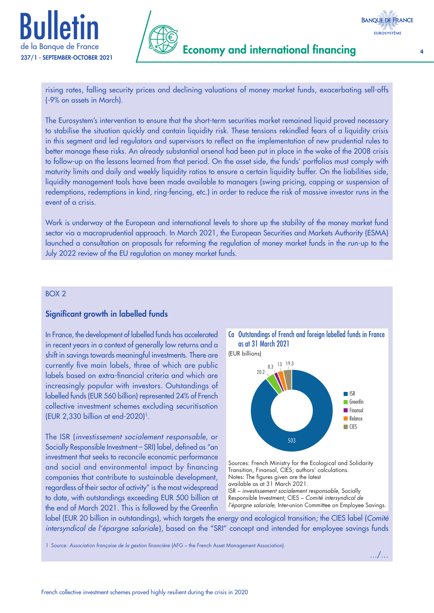



Economy and international financing <sup>4</sup>

rising rates, falling security prices and declining valuations of money market funds, exacerbating sell‑offs (‑9% on assets in March).

The Eurosystem's intervention to ensure that the short-term securities market remained liquid proved necessary to stabilise the situation quickly and contain liquidity risk. These tensions rekindled fears of a liquidity crisis in this segment and led regulators and supervisors to reflect on the implementation of new prudential rules to better manage these risks. An already substantial arsenal had been put in place in the wake of the 2008 crisis to follow‑up on the lessons learned from that period. On the asset side, the funds' portfolios must comply with maturity limits and daily and weekly liquidity ratios to ensure a certain liquidity buffer. On the liabilities side, liquidity management tools have been made available to managers (swing pricing, capping or suspension of redemptions, redemptions in kind, ring-fencing, etc.) in order to reduce the risk of massive investor runs in the event of a crisis.

Work is underway at the European and international levels to shore up the stability of the money market fund sector via a macroprudential approach. In March 2021, the European Securities and Markets Authority (ESMA) launched a consultation on proposals for reforming the regulation of money market funds in the run‑up to the July 2022 review of the EU regulation on money market funds.

#### BOX 2

#### Significant growth in labelled funds

In France, the development of labelled funds has accelerated in recent years in a context of generally low returns and a shift in savings towards meaningful investments. There are currently five main labels, three of which are public labels based on extra‑financial criteria and which are increasingly popular with investors. Outstandings of labelled funds (EUR 560 billion) represented 24% of French collective investment schemes excluding securitisation (EUR 2,330 billion at end‑2020)1.

The ISR (*investissement socialement responsable*, or Socially Responsible Investment – SRI) label, defined as "an investment that seeks to reconcile economic performance and social and environmental impact by financing companies that contribute to sustainable development, regardless of their sector of activity" is the most widespread to date, with outstandings exceeding EUR 500 billion at the end of March 2021. This is followed by the Greenfin



(EUR billions)



Sources: French Ministry for the Ecological and Solidarity Transition, Finansol, CIES; authors' calculations. Notes: The figures given are the latest available as at 31 March 2021. ISR – *investissement socialement responsable*, Socially Responsible Investment; CIES – *Comité intersyndical de l'épargne salariale*, Inter-union Committee on Employee Savings.

label (EUR 20 billion in outstandings), which targets the energy and ecological transition; the CIES label (*Comité intersyndical de l'épargne salariale*), based on the "SRI" concept and intended for employee savings funds

1 Source: *Association française de la gestion financière* (AFG – the French Asset Management Association).

…/…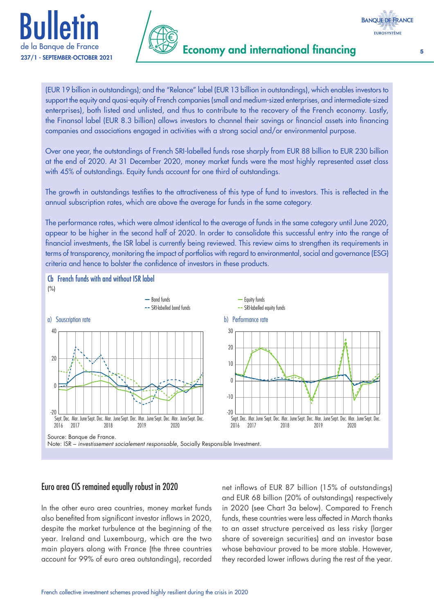



(EUR 19 billion in outstandings); and the "Relance" label (EUR 13 billion in outstandings), which enables investors to support the equity and quasi‑equity of French companies (small and medium‑sized enterprises, and intermediate‑sized enterprises), both listed and unlisted, and thus to contribute to the recovery of the French economy. Lastly, the Finansol label (EUR 8.3 billion) allows investors to channel their savings or financial assets into financing companies and associations engaged in activities with a strong social and/or environmental purpose.

Over one year, the outstandings of French SRI‑labelled funds rose sharply from EUR 88 billion to EUR 230 billion at the end of 2020. At 31 December 2020, money market funds were the most highly represented asset class with 45% of outstandings. Equity funds account for one third of outstandings.

The growth in outstandings testifies to the attractiveness of this type of fund to investors. This is reflected in the annual subscription rates, which are above the average for funds in the same category.

The performance rates, which were almost identical to the average of funds in the same category until June 2020, appear to be higher in the second half of 2020. In order to consolidate this successful entry into the range of financial investments, the ISR label is currently being reviewed. This review aims to strengthen its requirements in terms of transparency, monitoring the impact of portfolios with regard to environmental, social and governance (ESG) criteria and hence to bolster the confidence of investors in these products.



### Euro area CIS remained equally robust in 2020

In the other euro area countries, money market funds also benefited from significant investor inflows in 2020, despite the market turbulence at the beginning of the year. Ireland and Luxembourg, which are the two main players along with France (the three countries account for 99% of euro area outstandings), recorded

net inflows of EUR 87 billion (15% of outstandings) and EUR 68 billion (20% of outstandings) respectively in 2020 (see Chart 3a below). Compared to French funds, these countries were less affected in March thanks to an asset structure perceived as less risky (larger share of sovereign securities) and an investor base whose behaviour proved to be more stable. However, they recorded lower inflows during the rest of the year.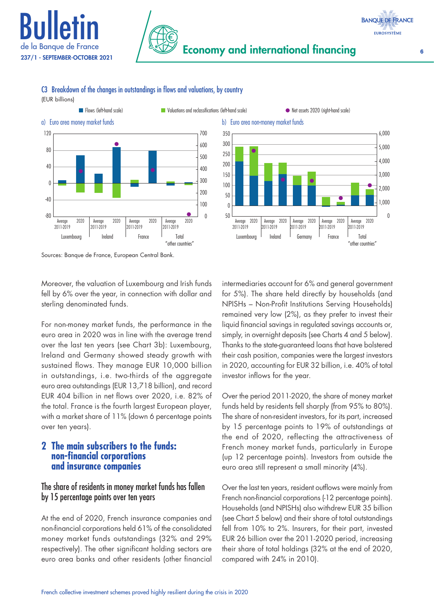



C3 Breakdown of the changes in outstandings in flows and valuations, by country (EUR billions)





Sources: Banque de France, European Central Bank.

Moreover, the valuation of Luxembourg and Irish funds fell by 6% over the year, in connection with dollar and sterling denominated funds.

For non-money market funds, the performance in the euro area in 2020 was in line with the average trend over the last ten years (see Chart 3b): Luxembourg, Ireland and Germany showed steady growth with sustained flows. They manage EUR 10,000 billion in outstandings, i.e. two-thirds of the aggregate euro area outstandings (EUR 13,718 billion), and record EUR 404 billion in net flows over 2020, i.e. 82% of the total. France is the fourth largest European player, with a market share of 11% (down 6 percentage points over ten years).

## **2 The main subscribers to the funds: non‑financial corporations and insurance companies**

## The share of residents in money market funds has fallen by 15 percentage points over ten years

At the end of 2020, French insurance companies and non-financial corporations held 61% of the consolidated money market funds outstandings (32% and 29% respectively). The other significant holding sectors are euro area banks and other residents (other financial intermediaries account for 6% and general government for 5%). The share held directly by households (and NPISHs – Non-Profit Institutions Serving Households) remained very low (2%), as they prefer to invest their liquid financial savings in regulated savings accounts or, simply, in overnight deposits (see Charts 4 and 5 below). Thanks to the state-guaranteed loans that have bolstered their cash position, companies were the largest investors in 2020, accounting for EUR 32 billion, i.e. 40% of total investor inflows for the year.

Over the period 2011-2020, the share of money market funds held by residents fell sharply (from 95% to 80%). The share of non-resident investors, for its part, increased by 15 percentage points to 19% of outstandings at the end of 2020, reflecting the attractiveness of French money market funds, particularly in Europe (up 12 percentage points). Investors from outside the euro area still represent a small minority (4%).

Over the last ten years, resident outflows were mainly from French non-financial corporations (-12 percentage points). Households (and NPISHs) also withdrew EUR 35 billion (see Chart 5 below) and their share of total outstandings fell from 10% to 2%. Insurers, for their part, invested EUR 26 billion over the 2011-2020 period, increasing their share of total holdings (32% at the end of 2020, compared with 24% in 2010).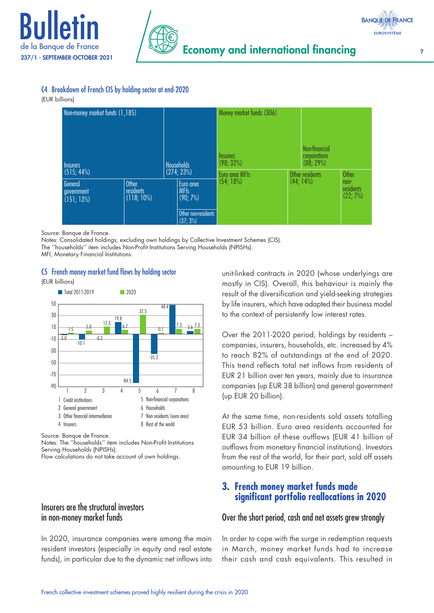



#### C4 Breakdown of French CIS by holding sector at end‑2020

#### (EUR billions)

| Non-money market funds (1,185)      |                                     |                                 |                                                                            | Money market funds (306)<br><b>Insurers</b> |  | Non-financial             |                                 |
|-------------------------------------|-------------------------------------|---------------------------------|----------------------------------------------------------------------------|---------------------------------------------|--|---------------------------|---------------------------------|
| <b>Insurers</b><br>(515; 44%)       |                                     | <b>Households</b><br>(274; 23%) |                                                                            | $(98; 32\%)$                                |  | corporations<br>(88; 29%) |                                 |
|                                     |                                     |                                 |                                                                            | Euro area MFIs                              |  | Other residents           | <b>Other</b>                    |
| General<br>government<br>(151; 13%) | Other<br>residents<br>$(118; 10\%)$ |                                 | Euro area<br><b>MFIs</b><br>$(90; 7\%)$<br>Other non-residents<br>(37; 3%) | (54; 18%)                                   |  | $(44; 14\%)$              | $non-$<br>residents<br>(22; 7%) |

Source: Banque de France.

Notes: Consolidated holdings, excluding own holdings by Collective Investment Schemes (CIS). The ''households'' item includes Non-Profit Institutions Serving Households (NPISHs).

MFI, Monetary Financial Institutions.

#### C5 French money market fund flows by holding sector

(EUR billions)



Source: Banque de France.

Notes: The ''households'' item includes Non-Profit Institutions Serving Households (NPISHs).

Flow calculations do not take account of own holdings.

#### Insurers are the structural investors in non‑money market funds

In 2020, insurance companies were among the main resident investors (especially in equity and real estate funds), in particular due to the dynamic net inflows into

unit-linked contracts in 2020 (whose underlyings are mostly in CIS). Overall, this behaviour is mainly the result of the diversification and yield-seeking strategies by life insurers, which have adapted their business model to the context of persistently low interest rates.

Over the 2011-2020 period, holdings by residents – companies, insurers, households, etc. increased by 4% to reach 82% of outstandings at the end of 2020. This trend reflects total net inflows from residents of EUR 21 billion over ten years, mainly due to insurance companies (up EUR 38 billion) and general government (up EUR 20 billion).

At the same time, non-residents sold assets totalling EUR 53 billion. Euro area residents accounted for EUR 34 billion of these outflows (EUR 41 billion of outflows from monetary financial institutions). Investors from the rest of the world, for their part, sold off assets amounting to EUR 19 billion.

## **3. French money market funds made significant portfolio reallocations in 2020**

### Over the short period, cash and net assets grew strongly

In order to cope with the surge in redemption requests in March, money market funds had to increase their cash and cash equivalents. This resulted in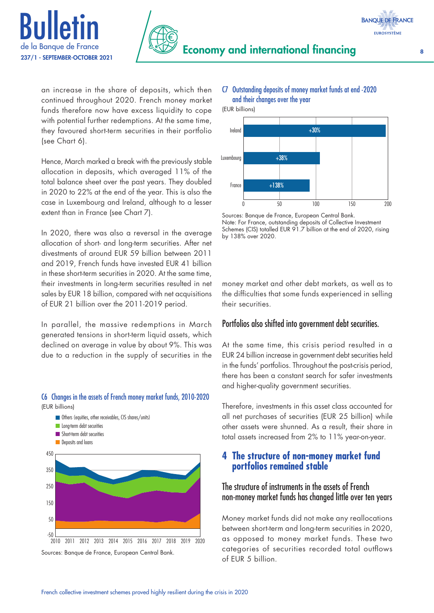

an increase in the share of deposits, which then continued throughout 2020. French money market funds therefore now have excess liquidity to cope with potential further redemptions. At the same time, they favoured short-term securities in their portfolio (see Chart 6).

Hence, March marked a break with the previously stable allocation in deposits, which averaged 11% of the total balance sheet over the past years. They doubled in 2020 to 22% at the end of the year. This is also the case in Luxembourg and Ireland, although to a lesser extent than in France (see Chart 7).

In 2020, there was also a reversal in the average allocation of short- and long-term securities. After net divestments of around EUR 59 billion between 2011 and 2019, French funds have invested EUR 41 billion in these short-term securities in 2020. At the same time, their investments in long-term securities resulted in net sales by EUR 18 billion, compared with net acquisitions of EUR 21 billion over the 2011-2019 period.

In parallel, the massive redemptions in March generated tensions in short-term liquid assets, which declined on average in value by about 9%. This was due to a reduction in the supply of securities in the

#### (EUR billions) 450 **Long-term debt securities Deposits and loans Others (equities, other receivables, CIS shares/units)** Short-term debt securities

C6 Changes in the assets of French money market funds, 2010‑2020

## $-50$   $-7010$ 50 150 250 350 2010 2011 2012 2013 2014 2015 2016 2017 2018 2019 2020

Sources: Banque de France, European Central Bank.

#### C7 Outstanding deposits of money market funds at end ‑2020 and their changes over the year

(EUR billions)



Sources: Banque de France, European Central Bank. Note: For France, outstanding deposits of Collective Investment Schemes (CIS) totalled EUR 91.7 billion at the end of 2020, rising by 138% over 2020.

money market and other debt markets, as well as to the difficulties that some funds experienced in selling their securities.

## Portfolios also shifted into government debt securities.

At the same time, this crisis period resulted in a EUR 24 billion increase in government debt securities held in the funds' portfolios. Throughout the post-crisis period, there has been a constant search for safer investments and higher-quality government securities.

Therefore, investments in this asset class accounted for all net purchases of securities (EUR 25 billion) while other assets were shunned. As a result, their share in total assets increased from 2% to 11% year-on-year.

## **4 The structure of non‑money market fund portfolios remained stable**

## The structure of instruments in the assets of French non‑money market funds has changed little over ten years

Money market funds did not make any reallocations between short-term and long-term securities in 2020, as opposed to money market funds. These two categories of securities recorded total outflows of EUR 5 billion.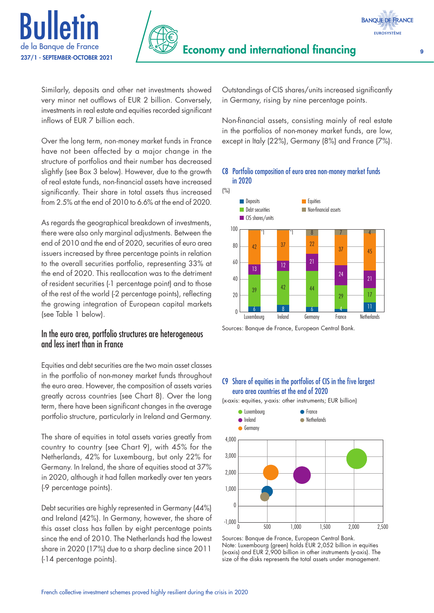



Similarly, deposits and other net investments showed very minor net outflows of EUR 2 billion. Conversely, investments in real estate and equities recorded significant inflows of EUR 7 billion each.

Over the long term, non-money market funds in France have not been affected by a major change in the structure of portfolios and their number has decreased slightly (see Box 3 below). However, due to the growth of real estate funds, non-financial assets have increased significantly. Their share in total assets thus increased from 2.5% at the end of 2010 to 6.6% at the end of 2020.

As regards the geographical breakdown of investments, there were also only marginal adjustments. Between the end of 2010 and the end of 2020, securities of euro area issuers increased by three percentage points in relation to the overall securities portfolio, representing 33% at the end of 2020. This reallocation was to the detriment of resident securities (-1 percentage point) and to those of the rest of the world (-2 percentage points), reflecting the growing integration of European capital markets (see Table 1 below).

## In the euro area, portfolio structures are heterogeneous and less inert than in France

Equities and debt securities are the two main asset classes in the portfolio of non-money market funds throughout the euro area. However, the composition of assets varies greatly across countries (see Chart 8). Over the long term, there have been significant changes in the average portfolio structure, particularly in Ireland and Germany.

The share of equities in total assets varies greatly from country to country (see Chart 9), with 45% for the Netherlands, 42% for Luxembourg, but only 22% for Germany. In Ireland, the share of equities stood at 37% in 2020, although it had fallen markedly over ten years (-9 percentage points).

Debt securities are highly represented in Germany (44%) and Ireland (42%). In Germany, however, the share of this asset class has fallen by eight percentage points since the end of 2010. The Netherlands had the lowest share in 2020 (17%) due to a sharp decline since 2011 (-14 percentage points).

Outstandings of CIS shares/units increased significantly in Germany, rising by nine percentage points.

Non-financial assets, consisting mainly of real estate in the portfolios of non-money market funds, are low, except in Italy (22%), Germany (8%) and France (7%).

#### C8 Portfolio composition of euro area non‑money market funds in 2020



Sources: Banque de France, European Central Bank.

#### C9 Share of equities in the portfolios of CIS in the five largest euro area countries at the end of 2020

(x-axis: equities, y-axis: other instruments; EUR billion)



Sources: Banque de France, European Central Bank. Note: Luxembourg (green) holds EUR 2,052 billion in equities (x-axis) and EUR 2,900 billion in other instruments (y-axis). The size of the disks represents the total assets under management.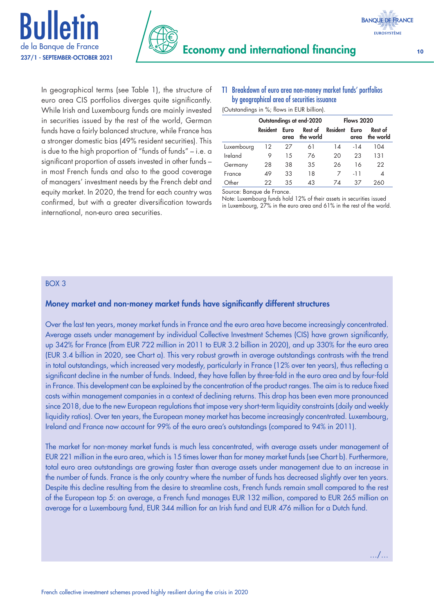



In geographical terms (see Table 1), the structure of euro area CIS portfolios diverges quite significantly. While Irish and Luxembourg funds are mainly invested in securities issued by the rest of the world, German funds have a fairly balanced structure, while France has a stronger domestic bias (49% resident securities). This is due to the high proportion of "funds of funds" – i.e. a significant proportion of assets invested in other funds – in most French funds and also to the good coverage of managers' investment needs by the French debt and equity market. In 2020, the trend for each country was confirmed, but with a greater diversification towards international, non-euro area securities.

#### T1 Breakdown of euro area non‑money market funds' portfolios by geographical area of securities issuance

(Outstandings in %; flows in EUR billion).

|            |          |              | Outstandings at end-2020 | <b>Flows 2020</b> |              |                      |  |
|------------|----------|--------------|--------------------------|-------------------|--------------|----------------------|--|
|            | Resident | Euro<br>area | Rest of<br>the world     | <b>Resident</b>   | Euro<br>area | Rest of<br>the world |  |
| Luxembourg | 12       | 27           | 61                       | 14                | $-14$        | 104                  |  |
| Ireland    |          | 15           | 76                       | 20                | 23           | 131                  |  |
| Germany    | 28       | 38           | 35                       | 26                | 16           | 22                   |  |
| France     | 49       | 33           | 18                       | 7                 | -11          | 4                    |  |
| Other      | 22       | 35           | 43                       | 7Δ                | 37           | 260                  |  |

Source: Banque de France.

Note: Luxembourg funds hold 12% of their assets in securities issued in Luxembourg, 27% in the euro area and 61% in the rest of the world.

#### BOX 3

#### Money market and non‑money market funds have significantly different structures

Over the last ten years, money market funds in France and the euro area have become increasingly concentrated. Average assets under management by individual Collective Investment Schemes (CIS) have grown significantly, up 342% for France (from EUR 722 million in 2011 to EUR 3.2 billion in 2020), and up 330% for the euro area (EUR 3.4 billion in 2020, see Chart a). This very robust growth in average outstandings contrasts with the trend in total outstandings, which increased very modestly, particularly in France (12% over ten years), thus reflecting a significant decline in the number of funds. Indeed, they have fallen by three-fold in the euro area and by four-fold in France. This development can be explained by the concentration of the product ranges. The aim is to reduce fixed costs within management companies in a context of declining returns. This drop has been even more pronounced since 2018, due to the new European regulations that impose very short-term liquidity constraints (daily and weekly liquidity ratios). Over ten years, the European money market has become increasingly concentrated. Luxembourg, Ireland and France now account for 99% of the euro area's outstandings (compared to 94% in 2011).

The market for non-money market funds is much less concentrated, with average assets under management of EUR 221 million in the euro area, which is 15 times lower than for money market funds (see Chart b). Furthermore, total euro area outstandings are growing faster than average assets under management due to an increase in the number of funds. France is the only country where the number of funds has decreased slightly over ten years. Despite this decline resulting from the desire to streamline costs, French funds remain small compared to the rest of the European top 5: on average, a French fund manages EUR 132 million, compared to EUR 265 million on average for a Luxembourg fund, EUR 344 million for an Irish fund and EUR 476 million for a Dutch fund.

…/…